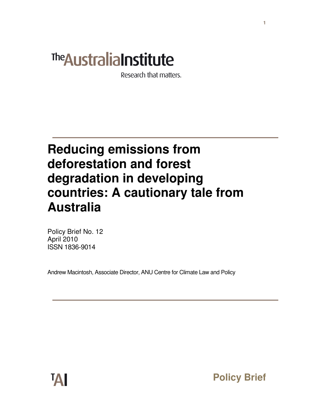# The Australia Institute

Research that matters.

# **Reducing emissions from deforestation and forest degradation in developing countries: A cautionary tale from Australia**

Policy Brief No. 12 April 2010 ISSN 1836-9014

Andrew Macintosh, Associate Director, ANU Centre for Climate Law and Policy

**Policy Brief**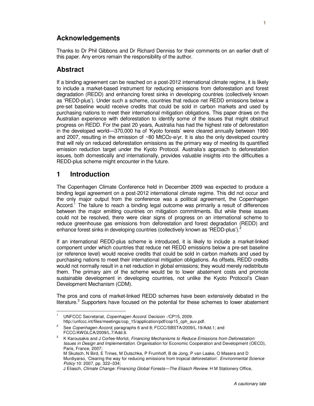# **Acknowledgements**

Thanks to Dr Phil Gibbons and Dr Richard Denniss for their comments on an earlier draft of this paper. Any errors remain the responsibility of the author.

#### **Abstract**

If a binding agreement can be reached on a post-2012 international climate regime, it is likely to include a market-based instrument for reducing emissions from deforestation and forest degradation (REDD) and enhancing forest sinks in developing countries (collectively known as 'REDD-plus'). Under such a scheme, countries that reduce net REDD emissions below a pre-set baseline would receive credits that could be sold in carbon markets and used by purchasing nations to meet their international mitigation obligations. This paper draws on the Australian experience with deforestation to identify some of the issues that might obstruct progress on REDD. For the past 20 years, Australia has had the highest rate of deforestation in the developed world—370,000 ha of 'Kyoto forests' were cleared annually between 1990 and 2007, resulting in the emission of ~80 MtCO2-e/yr. It is also the only developed country that will rely on reduced deforestation emissions as the primary way of meeting its quantified emission reduction target under the Kyoto Protocol. Australia's approach to deforestation issues, both domestically and internationally, provides valuable insights into the difficulties a REDD-plus scheme might encounter in the future.

#### **1 Introduction**

The Copenhagen Climate Conference held in December 2009 was expected to produce a binding legal agreement on a post-2012 international climate regime. This did not occur and the only major output from the conference was a political agreement, the Copenhagen Accord.<sup>1</sup> The failure to reach a binding legal outcome was primarily a result of differences between the major emitting countries on mitigation commitments. But while these issues could not be resolved, there were clear signs of progress on an international scheme to reduce greenhouse gas emissions from deforestation and forest degradation (REDD) and enhance forest sinks in developing countries (collectively known as 'REDD-plus').<sup>2</sup>

If an international REDD-plus scheme is introduced, it is likely to include a market-linked component under which countries that reduce net REDD emissions below a pre-set baseline (or reference level) would receive credits that could be sold in carbon markets and used by purchasing nations to meet their international mitigation obligations. As offsets, REDD credits would not normally result in a net reduction in global emissions; they would merely redistribute them. The primary aim of the scheme would be to lower abatement costs and promote sustainable development in developing countries, not unlike the Kyoto Protocol's Clean Development Mechanism (CDM).

The pros and cons of market-linked REDD schemes have been extensively debated in the literature.<sup>3</sup> Supporters have focused on the potential for these schemes to lower abatement

 $\frac{1}{1}$  UNFCCC Secretariat, Copenhagen Accord. Decision -/CP15, 2009. http://unfccc.int/files/meetings/cop\_15/application/pdf/cop15\_cph\_auv.pdf.

<sup>2</sup> See Copenhagen Accord, paragraphs 6 and 8; FCCC/SBSTA/2009/L.19/Add.1; and FCCC/AWGLCA/2009/L.7/Add.6.

<sup>3</sup> K Karousakis and J Corfee-Morlot, Financing Mechanisms to Reduce Emissions from Deforestation: Issues in Design and Implementation. Organisation for Economic Cooperation and Development (OECD), Paris, France, 2007; M Skutsch, N Bird, E Trines, M Dutschke, P Frumhoff, B de Jong, P van Laake, O Masera and D

Murdiyarso, 'Clearing the way for reducing emissions from tropical deforestation'. Environmental Science Policy 10: 2007, pp. 322–334;

J Eliasch, Climate Change: Financing Global Forests—The Eliasch Review. H M Stationery Office,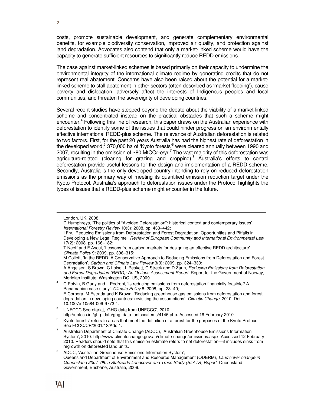costs, promote sustainable development, and generate complementary environmental benefits, for example biodiversity conservation, improved air quality, and protection against land degradation. Advocates also contend that only a market-linked scheme would have the capacity to generate sufficient resources to significantly reduce REDD emissions.

The case against market-linked schemes is based primarily on their capacity to undermine the environmental integrity of the international climate regime by generating credits that do not represent real abatement. Concerns have also been raised about the potential for a marketlinked scheme to stall abatement in other sectors (often described as 'market flooding'), cause poverty and dislocation, adversely affect the interests of Indigenous peoples and local communities, and threaten the sovereignty of developing countries.

Several recent studies have stepped beyond the debate about the viability of a market-linked scheme and concentrated instead on the practical obstacles that such a scheme might encounter.<sup>4</sup> Following this line of research, this paper draws on the Australian experience with deforestation to identify some of the issues that could hinder progress on an environmentally effective international REDD-plus scheme. The relevance of Australian deforestation is related to two factors. First, for the past 20 years Australia has had the highest rate of deforestation in the developed world;<sup>5</sup> 370,000 ha of 'Kyoto forests'<sup>6</sup> were cleared annually between 1990 and 2007, resulting in the emission of ~80 MtCO2-e/yr.<sup>7</sup> The vast majority of this deforestation was agriculture-related (clearing for grazing and cropping).<sup>8</sup> Australia's efforts to control deforestation provide useful lessons for the design and implementation of a REDD scheme. Secondly, Australia is the only developed country intending to rely on reduced deforestation emissions as the primary way of meeting its quantified emission reduction target under the Kyoto Protocol. Australia's approach to deforestation issues under the Protocol highlights the types of issues that a REDD-plus scheme might encounter in the future.

 $\overline{a}$ 

A Angelsen, S Brown, C Loisel, L Peskett, C Streck and D Zarin, Reducing Emissions from Deforestation and Forest Degradation (REDD): An Options Assessment Report. Report for the Government of Norway, Meridian Institute, Washington DC, US, 2009.

4 C Potvin, B Guay and L Pedroni, 'Is reducing emissions from deforestation financially feasible? A Panamanian case study'. Climate Policy 8: 2008, pp. 23–40; E Corbera, M Estrada and K Brown, 'Reducing greenhouse gas emissions from deforestation and forest degradation in developing countries: revisiting the assumptions'. Climatic Change, 2010. Doi: 10.1007/s10584-009-9773-1.

5 UNFCCC Secretariat, 'GHG data from UNFCCC', 2010. http://unfccc.int/ghg\_data/ghg\_data\_unfccc/items/4146.php. Accessed 16 February 2010.

London, UK, 2008;

D Humphreys, 'The politics of "Avoided Deforestation": historical context and contemporary issues'. International Forestry Review 10(3): 2008, pp. 433–442;

I Fry, 'Reducing Emissions from Deforestation and Forest Degradation: Opportunities and Pitfalls in Developing a New Legal Regime'. Review of European Community and International Environmental Law 17(2): 2008, pp. 166–182;

T Neeff and F Ascui, 'Lessons from carbon markets for designing an effective REDD architecture'. Climate Policy 9: 2009, pp. 306–315;

M Collett, 'In the REDD: A Conservative Approach to Reducing Emissions from Deforestation and Forest Degradation'. Carbon and Climate Law Review 3(3): 2009, pp. 324–339;

 $6$  Kyoto forests' refers to areas that meet the definition of a forest for the purposes of the Kyoto Protocol. See FCCC/CP/2001/13/Add.1.

<sup>7</sup> Australian Department of Climate Change (ADCC), 'Australian Greenhouse Emissions Information System', 2010. http://www.climatechange.gov.au/climate-change/emissions.aspx. Accessed 12 February 2010. Readers should note that this emission estimate refers to net deforestation—it includes sinks from regrowth on deforested land units.

<sup>8</sup> ADCC, 'Australian Greenhouse Emissions Information System'; Queensland Department of Environment and Resource Management (QDERM), Land cover change in Queensland 2007–08: a Statewide Landcover and Trees Study (SLATS) Report. Queensland Government, Brisbane, Australia, 2009.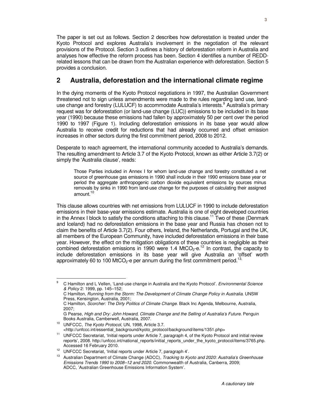The paper is set out as follows. Section 2 describes how deforestation is treated under the Kyoto Protocol and explores Australia's involvement in the negotiation of the relevant provisions of the Protocol. Section 3 outlines a history of deforestation reform in Australia and analyses how effective the reform process has been. Section 4 identifies a number of REDDrelated lessons that can be drawn from the Australian experience with deforestation. Section 5 provides a conclusion.

# **2 Australia, deforestation and the international climate regime**

In the dying moments of the Kyoto Protocol negotiations in 1997, the Australian Government threatened not to sign unless amendments were made to the rules regarding land use, landuse change and forestry (LULUCF) to accommodate Australia's interests.<sup>9</sup> Australia's primary request was for deforestation (or land-use change (LUC)) emissions to be included in its base year (1990) because these emissions had fallen by approximately 50 per cent over the period 1990 to 1997 (Figure 1). Including deforestation emissions in its base year would allow Australia to receive credit for reductions that had already occurred and offset emission increases in other sectors during the first commitment period, 2008 to 2012.

Desperate to reach agreement, the international community acceded to Australia's demands. The resulting amendment to Article 3.7 of the Kyoto Protocol, known as either Article 3.7(2) or simply the 'Australia clause', reads:

Those Parties included in Annex I for whom land-use change and forestry constituted a net source of greenhouse gas emissions in 1990 shall include in their 1990 emissions base year or period the aggregate anthropogenic carbon dioxide equivalent emissions by sources minus removals by sinks in 1990 from land-use change for the purposes of calculating their assigned amount.<sup>10</sup>

This clause allows countries with net emissions from LULUCF in 1990 to include deforestation emissions in their base-year emissions estimate. Australia is one of eight developed countries in the Annex I block to satisfy the conditions attaching to this clause.<sup>11</sup> Two of these (Denmark and Iceland) had no deforestation emissions in the base year and Russia has chosen not to claim the benefits of Article 3.7(2). Four others, Ireland, the Netherlands, Portugal and the UK, all members of the European Community, have included deforestation emissions in their base year. However, the effect on the mitigation obligations of these countries is negligible as their combined deforestation emissions in 1990 were 1.4 MtCO<sub>2</sub>-e.<sup>12</sup> In contrast, the capacity to include deforestation emissions in its base year will give Australia an 'offset' worth approximately 60 to 100 MtCO<sub>2</sub>-e per annum during the first commitment period.<sup>13,</sup>

<sup>10</sup> UNFCCC, The Kyoto Protocol, UN, 1998, Article 3.7.

<sup>-&</sup>lt;br>9 C Hamilton and L Vellen, 'Land-use change in Australia and the Kyoto Protocol'. Environmental Science & Policy 2: 1999, pp. 145–152;

C Hamilton, Running from the Storm: The Development of Climate Change Policy in Australia. UNSW Press, Kensington, Australia, 2001;

C Hamilton, Scorcher: The Dirty Politics of Climate Change. Black Inc Agenda, Melbourne, Australia, 2007;

G Pearse, High and Dry: John Howard, Climate Change and the Selling of Australia's Future. Penguin Books Australia, Camberwell, Australia, 2007.

<sup>&</sup>lt;http://unfccc.int/essential\_background/kyoto\_protocol/background/items/1351.php> <sup>11</sup> UNFCCC Secretariat, 'Initial reports under Article 7, paragraph 4, of the Kyoto Protocol and initial review reports', 2008. http://unfccc.int/national\_reports/initial\_reports\_under\_the\_kyoto\_protocol/items/3765.php. Accessed 16 February 2010.

<sup>12</sup> UNFCCC Secretariat, 'Initial reports under Article 7, paragraph 4'.

Australian Department of Climate Change (ADCC), Tracking to Kyoto and 2020: Australia's Greenhouse Emissions Trends 1990 to 2008–12 and 2020. Commonwealth of Australia, Canberra, 2009; ADCC, 'Australian Greenhouse Emissions Information System'.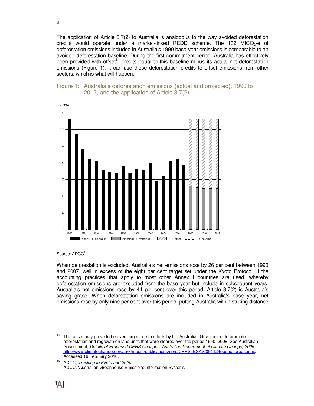The application of Article 3.7(2) to Australia is analogous to the way avoided deforestation credits would operate under a market-linked REDD scheme. The 132 MtCO<sub>2</sub>-e of deforestation emissions included in Australia's 1990 base-year emissions is comparable to an avoided deforestation baseline. During the first commitment period, Australia has effectively been provided with offset<sup>14</sup> credits equal to this baseline minus its actual net deforestation emissions (Figure 1). It can use these deforestation credits to offset emissions from other sectors, which is what will happen.





Source: ADCC<sup>15</sup>

When deforestation is excluded, Australia's net emissions rose by 26 per cent between 1990 and 2007, well in excess of the eight per cent target set under the Kyoto Protocol. If the accounting practices that apply to most other Annex I countries are used, whereby deforestation emissions are excluded from the base year but include in subsequent years, Australia's net emissions rose by 44 per cent over this period. Article 3.7(2) is Australia's saving grace. When deforestation emissions are included in Australia's base year, net emissions rose by only nine per cent over this period, putting Australia within striking distance

 $14$ This offset may prove to be even larger due to efforts by the Australian Government to promote reforestation and regrowth on land units that were cleared over the period 1990–2008. See Australian Government, Details of Proposed CPRS Changes, Australian Department of Climate Change, 2009. http://www.climatechange.gov.au/~/media/publications/cprs/CPRS\_ESAS/091124oppnofferpdf.ashx. Accessed 16 February 2010.

<sup>&</sup>lt;sup>15</sup> ADCC, Tracking to Kyoto and 2020; ADCC, 'Australian Greenhouse Emissions Information System'.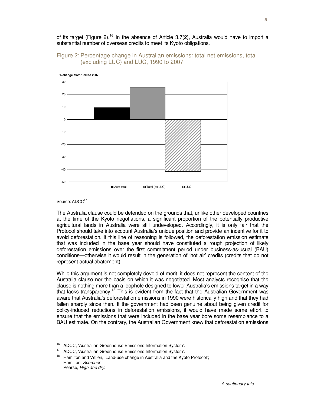of its target (Figure 2).<sup>16</sup> In the absence of Article 3.7(2), Australia would have to import a substantial number of overseas credits to meet its Kyoto obligations.





**% change from 1990 to 2007** 



The Australia clause could be defended on the grounds that, unlike other developed countries at the time of the Kyoto negotiations, a significant proportion of the potentially productive agricultural lands in Australia were still undeveloped. Accordingly, it is only fair that the Protocol should take into account Australia's unique position and provide an incentive for it to avoid deforestation. If this line of reasoning is followed, the deforestation emission estimate that was included in the base year should have constituted a rough projection of likely deforestation emissions over the first commitment period under business-as-usual (BAU) conditions—otherwise it would result in the generation of 'hot air' credits (credits that do not represent actual abatement).

While this argument is not completely devoid of merit, it does not represent the content of the Australia clause nor the basis on which it was negotiated. Most analysts recognise that the clause is nothing more than a loophole designed to lower Australia's emissions target in a way that lacks transparency.<sup>18</sup> This is evident from the fact that the Australian Government was aware that Australia's deforestation emissions in 1990 were historically high and that they had fallen sharply since then. If the government had been genuine about being given credit for policy-induced reductions in deforestation emissions, it would have made some effort to ensure that the emissions that were included in the base year bore some resemblance to a BAU estimate. On the contrary, the Australian Government knew that deforestation emissions

<sup>16</sup> <sup>16</sup> ADCC, 'Australian Greenhouse Emissions Information System'.

<sup>&</sup>lt;sup>17</sup> ADCC, 'Australian Greenhouse Emissions Information System'.

<sup>&</sup>lt;sup>18</sup> Hamilton and Vellen, 'Land-use change in Australia and the Kyoto Protocol'; Hamilton, Scorcher; Pearse, High and dry.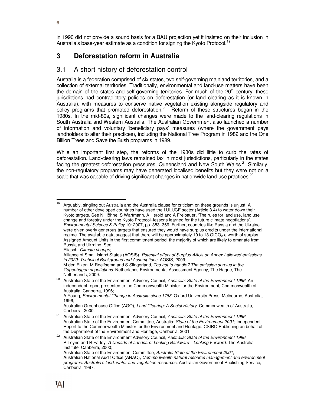in 1990 did not provide a sound basis for a BAU projection yet it insisted on their inclusion in Australia's base-year estimate as a condition for signing the Kyoto Protocol.<sup>19</sup>

# **3 Deforestation reform in Australia**

## 3.1 A short history of deforestation control

Australia is a federation comprised of six states, two self-governing mainland territories, and a collection of external territories. Traditionally, environmental and land-use matters have been the domain of the states and self-governing territories. For much of the  $20<sup>th</sup>$  century, these jurisdictions had contradictory policies on deforestation (or land clearing as it is known in Australia), with measures to conserve native vegetation existing alongside regulatory and policy programs that promoted deforestation.<sup>20</sup> Reform of these structures began in the 1980s. In the mid-80s, significant changes were made to the land-clearing regulations in South Australia and Western Australia. The Australian Government also launched a number of information and voluntary 'beneficiary pays' measures (where the government pays landholders to alter their practices), including the National Tree Program in 1982 and the One Billion Trees and Save the Bush programs in 1989.

While an important first step, the reforms of the 1980s did little to curb the rates of deforestation. Land-clearing laws remained lax in most jurisdictions, particularly in the states facing the greatest deforestation pressures, Queensland and New South Wales.<sup>21</sup> Similarly, the non-regulatory programs may have generated localised benefits but they were not on a scale that was capable of driving significant changes in nationwide land-use practices.<sup>22</sup>

<sup>19</sup> Arguably, singling out Australia and the Australia clause for criticism on these grounds is unjust. A number of other developed countries have used the LULUCF sector (Article 3.4) to water down their Kyoto targets. See N Höhne, S Wartmann, A Herold and A Freibauer, 'The rules for land use, land use change and forestry under the Kyoto Protocol–lessons learned for the future climate negotiations'. Environmental Science & Policy 10: 2007, pp. 353–369. Further, countries like Russia and the Ukraine were given overly generous targets that ensured they would have surplus credits under the international regime. The available data suggest that there will be approximately 10 to 13 GtCO<sub>2</sub>-e worth of surplus Assigned Amount Units in the first commitment period, the majority of which are likely to emanate from Russia and Ukraine. See:

Eliasch, Climate change;

Alliance of Small Island States (AOSIS), Potential effect of Surplus AAUs on Annex I allowed emissions in 2020: Technical Background and Assumptions. AOSIS, 2009;

M den Elzen, M Roelfsema and S Slingerland, Too hot to handle? The emission surplus in the Copenhagen negotiations. Netherlands Environmental Assessment Agency, The Hague, The Netherlands, 2009.

Australian State of the Environment Advisory Council, Australia: State of the Environment 1996; An independent report presented to the Commonwealth Minister for the Environment, Commonwealth of Australia, Canberra, 1996;

A Young, Environmental Change in Australia since 1788. Oxford University Press, Melbourne, Australia, 1996;

Australian Greenhouse Office (AGO), Land Clearing: A Social History. Commonwealth of Australia, Canberra, 2000.

<sup>&</sup>lt;sup>21</sup> Australian State of the Environment Advisory Council, Australia: State of the Environment 1996; Australian State of the Environment Committee, Australia: State of the Environment 2001; Independent Report to the Commonwealth Minister for the Environment and Heritage. CSIRO Publishing on behalf of the Department of the Environment and Heritage, Canberra, 2001.

<sup>&</sup>lt;sup>22</sup> Australian State of the Environment Advisory Council, Australia: State of the Environment 1996; P Toyne and R Farley, A Decade of Landcare: Looking Backward—Looking Forward. The Australia Institute, Canberra, 2000;

Australian State of the Environment Committee, Australia State of the Environment 2001; Australian National Audit Office (ANAO), Commonwealth natural resource management and environment programs: Australia's land, water and vegetation resources. Australian Government Publishing Service, Canberra, 1997.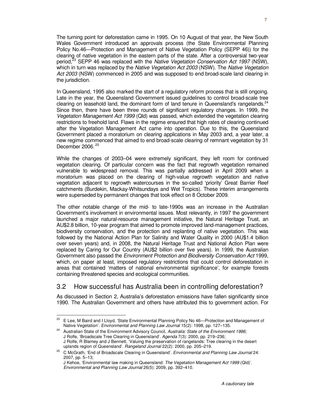The turning point for deforestation came in 1995. On 10 August of that year, the New South Wales Government introduced an approvals process (the State Environmental Planning Policy No.46—Protection and Management of Native Vegetation Policy (SEPP 46)) for the clearing of native vegetation in the eastern parts of the state. After a controversial two-year period,<sup>23</sup> SEPP 46 was replaced with the Native Vegetation Conservation Act 1997 (NSW), which in turn was replaced by the Native Vegetation Act 2003 (NSW). The Native Vegetation Act 2003 (NSW) commenced in 2005 and was supposed to end broad-scale land clearing in the jurisdiction.

In Queensland, 1995 also marked the start of a regulatory reform process that is still ongoing. Late in the year, the Queensland Government issued guidelines to control broad-scale tree clearing on leasehold land, the dominant form of land tenure in Queensland's rangelands. $24$ Since then, there have been three rounds of significant regulatory changes. In 1999, the Vegetation Management Act 1999 (Qld) was passed, which extended the vegetation clearing restrictions to freehold land. Flaws in the regime ensured that high rates of clearing continued after the Vegetation Management Act came into operation. Due to this, the Queensland Government placed a moratorium on clearing applications in May 2003 and, a year later, a new regime commenced that aimed to end broad-scale clearing of remnant vegetation by 31 December 2006.<sup>25</sup>

While the changes of 2003–04 were extremely significant, they left room for continued vegetation clearing. Of particular concern was the fact that regrowth vegetation remained vulnerable to widespread removal. This was partially addressed in April 2009 when a moratorium was placed on the clearing of high-value regrowth vegetation and native vegetation adjacent to regrowth watercourses in the so-called 'priority' Great Barrier Reef catchments (Burdekin, Mackay-Whitsundays and Wet Tropics). These interim arrangements were superseded by permanent changes that took effect on 8 October 2009.

The other notable change of the mid- to late-1990s was an increase in the Australian Government's involvement in environmental issues. Most relevantly, in 1997 the government launched a major natural-resource management initiative, the Natural Heritage Trust, an AU\$2.8 billion, 10-year program that aimed to promote improved land-management practices, biodiversity conservation, and the protection and replanting of native vegetation. This was followed by the National Action Plan for Salinity and Water Quality in 2000 (AU\$1.4 billion over seven years) and, in 2008, the Natural Heritage Trust and National Action Plan were replaced by Caring for Our Country (AU\$2 billion over five years). In 1999, the Australian Government also passed the Environment Protection and Biodiversity Conservation Act 1999, which, on paper at least, imposed regulatory restrictions that could control deforestation in areas that contained 'matters of national environmental significance', for example forests containing threatened species and ecological communities.

# 3.2 How successful has Australia been in controlling deforestation?

As discussed in Section 2, Australia's deforestation emissions have fallen significantly since 1990. The Australian Government and others have attributed this to government action. For

<sup>23</sup> <sup>23</sup> E Lee, M Baird and I Lloyd, 'State Environmental Planning Policy No 46—Protection and Management of Native Vegetation'. Environmental and Planning Law Journal 15(2): 1998, pp. 127–135.

<sup>&</sup>lt;sup>24</sup> Australian State of the Environment Advisory Council, Australia: State of the Environment 1996; J Rolfe, 'Broadscale Tree Clearing in Queensland'. Agenda 7(3): 2000, pp. 219–236; J Rolfe, R Blamey and J Bennett, 'Valuing the preservation of rangelands: Tree clearing in the desert uplands region of Queensland'. Rangeland Journal 22(2): 2000, pp. 205–219.

<sup>25</sup> C McGrath, 'End of Broadscale Clearing in Queensland'. Environmental and Planning Law Journal 24: 2007, pp. 5–13;

J Kehoe, 'Environmental law making in Queensland: The Vegetation Management Act 1999 (Qld)'. Environmental and Planning Law Journal 26(5): 2009, pp. 392–410.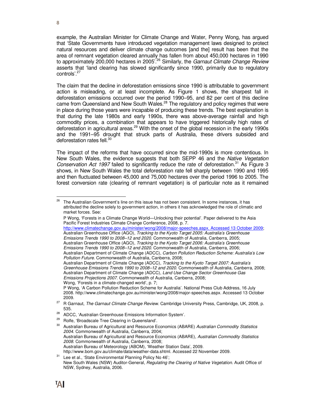example, the Australian Minister for Climate Change and Water, Penny Wong, has argued that 'State Governments have introduced vegetation management laws designed to protect natural resources and deliver climate change outcomes [and the] result has been that the area of remnant vegetation cleared annually has fallen from about 450,000 hectares in 1990 to approximately 200,000 hectares in 2005<sup>'.26</sup> Similarly, the Garnaut Climate Change Review asserts that 'land clearing has slowed significantly since 1990, primarily due to regulatory controls'.<sup>27</sup>

The claim that the decline in deforestation emissions since 1990 is attributable to government action is misleading, or at least incomplete. As Figure 1 shows, the sharpest fall in deforestation emissions occurred over the period 1990–95, and 82 per cent of this decline came from Queensland and New South Wales.<sup>28</sup> The regulatory and policy regimes that were in place during those years were incapable of producing these trends. The best explanation is that during the late 1980s and early 1990s, there was above-average rainfall and high commodity prices, a combination that appears to have triggered historically high rates of deforestation in agricultural areas.<sup>29</sup> With the onset of the global recession in the early 1990s and the 1991–95 drought that struck parts of Australia, these drivers subsided and deforestation rates fell.<sup>30</sup>

The impact of the reforms that have occurred since the mid-1990s is more contentious. In New South Wales, the evidence suggests that both SEPP 46 and the Native Vegetation Conservation Act 1997 failed to significantly reduce the rate of deforestation.<sup>31</sup> As Figure 3 shows, in New South Wales the total deforestation rate fell sharply between 1990 and 1995 and then fluctuated between 45,000 and 75,000 hectares over the period 1996 to 2005. The forest conversion rate (clearing of remnant vegetation) is of particular note as it remained

http://www.climatechange.gov.au/minister/wong/2008/major-speeches.aspx. Accessed 13 October 2009; Australian Greenhouse Office (AGO), Tracking to the Kyoto Target 2005: Australia's Greenhouse Emissions Trends 1990 to 2008–12 and 2020. Commonwealth of Australia, Canberra, 2005; Australian Greenhouse Office (AGO), Tracking to the Kyoto Target 2006: Australia's Greenhouse Emissions Trends 1990 to 2008–12 and 2020. Commonwealth of Australia, Canberra, 2006;

<sup>26</sup> The Australian Government's line on this issue has not been consistent. In some instances, it has attributed the decline solely to government action, in others it has acknowledged the role of climatic and market forces. See:

P Wong, 'Forests in a Climate Change World—Unlocking their potential'. Paper delivered to the Asia Pacific Forest Industries Climate Change Conference, 2008, p. 7.

Australian Department of Climate Change (ADCC), Carbon Pollution Reduction Scheme: Australia's Low Pollution Future. Commonwealth of Australia, Canberra, 2008;

Australian Department of Climate Change (ADCC), Tracking to the Kyoto Target 2007: Australia's Greenhouse Emissions Trends 1990 to 2008–12 and 2020. Commonwealth of Australia, Canberra, 2008; Australian Department of Climate Change (ADCC), Land Use Change Sector Greenhouse Gas Emissions Projections 2007. Commonwealth of Australia, Canberra, 2008; Wong, 'Forests in a climate-changed world', p. 7;

P Wong, 'A Carbon Pollution Reduction Scheme for Australia'. National Press Club Address, 16 July 2008. http://www.climatechange.gov.au/minister/wong/2008/major-speeches.aspx. Accessed 13 October 2009.

<sup>&</sup>lt;sup>27</sup> R Garnaut, The Garnaut Climate Change Review. Cambridge University Press, Cambridge, UK, 2008, p. 535.

<sup>&</sup>lt;sup>28</sup> ADCC, 'Australian Greenhouse Emissions Information System'.<br><sup>29</sup> Petts i<sup>ncorderate Tree Clearias in Queensland'</sup>

<sup>&</sup>lt;sup>29</sup> Rolfe, 'Broadscale Tree Clearing in Queensland'.<br> $30 - \text{Average Power}$ 

Australian Bureau of Agricultural and Resource Economics (ABARE) Australian Commodity Statistics 2004. Commonwealth of Australia, Canberra, 2004; Australian Bureau of Agricultural and Resource Economics (ABARE), Australian Commodity Statistics 2008. Commonwealth of Australia, Canberra, 2008; Australian Bureau of Meteorology (ABOM), 'Weather Station Data', 2009. http://www.bom.gov.au/climate/data/weather-data.shtml. Accessed 22 November 2009.

<sup>&</sup>lt;sup>31</sup> Lee et al., 'State Environmental Planning Policy No 46'; New South Wales (NSW) Auditor-General, Regulating the Clearing of Native Vegetation. Audit Office of NSW, Sydney, Australia, 2006.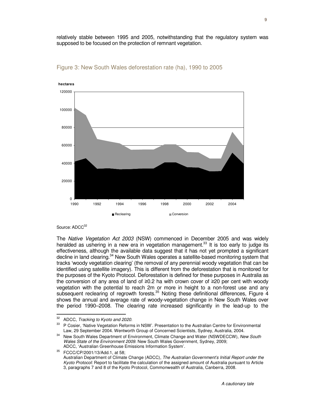relatively stable between 1995 and 2005, notwithstanding that the regulatory system was supposed to be focused on the protection of remnant vegetation.



#### Figure 3: New South Wales deforestation rate (ha), 1990 to 2005

#### Source: ADCC<sup>32</sup>

The Native Vegetation Act 2003 (NSW) commenced in December 2005 and was widely heralded as ushering in a new era in vegetation management.<sup>33</sup> It is too early to judge its effectiveness, although the available data suggest that it has not yet prompted a significant decline in land clearing.<sup>34</sup> New South Wales operates a satellite-based monitoring system that tracks 'woody vegetation clearing' (the removal of any perennial woody vegetation that can be identified using satellite imagery). This is different from the deforestation that is monitored for the purposes of the Kyoto Protocol. Deforestation is defined for these purposes in Australia as the conversion of any area of land of ≥0.2 ha with crown cover of ≥20 per cent with woody vegetation with the potential to reach 2m or more in height to a non-forest use and any subsequent reclearing of regrowth forests.<sup>35</sup> Noting these definitional differences, Figure 4 shows the annual and average rate of woody-vegetation change in New South Wales over the period 1990–2008. The clearing rate increased significantly in the lead-up to the

<sup>32</sup>  $32$  ADCC, Tracking to Kyoto and 2020.

P Cosier, 'Native Vegetation Reforms in NSW'. Presentation to the Australian Centre for Environmental Law, 29 September 2004. Wentworth Group of Concerned Scientists, Sydney, Australia, 2004.

<sup>&</sup>lt;sup>34</sup> New South Wales Department of Environment, Climate Change and Water (NSWDECCW), New South Wales State of the Environment 2009. New South Wales Government, Sydney, 2009; ADCC, 'Australian Greenhouse Emissions Information System'.

<sup>35</sup> FCCC/CP/2001/13/Add.1, at 58; Australian Department of Climate Change (ADCC), The Australian Government's Initial Report under the Kyoto Protocol: Report to facilitate the calculation of the assigned amount of Australia pursuant to Article 3, paragraphs 7 and 8 of the Kyoto Protocol, Commonwealth of Australia, Canberra, 2008.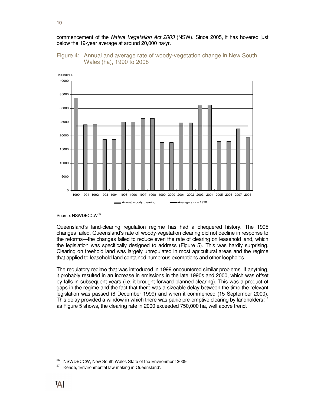commencement of the Native Vegetation Act 2003 (NSW). Since 2005, it has hovered just below the 19-year average at around 20,000 ha/yr.

#### Figure 4: Annual and average rate of woody-vegetation change in New South Wales (ha), 1990 to 2008



Source: NSWDFCCW<sup>36</sup>

Queensland's land-clearing regulation regime has had a chequered history. The 1995 changes failed. Queensland's rate of woody-vegetation clearing did not decline in response to the reforms—the changes failed to reduce even the rate of clearing on leasehold land, which the legislation was specifically designed to address (Figure 5). This was hardly surprising. Clearing on freehold land was largely unregulated in most agricultural areas and the regime that applied to leasehold land contained numerous exemptions and other loopholes.

The regulatory regime that was introduced in 1999 encountered similar problems. If anything, it probably resulted in an increase in emissions in the late 1990s and 2000, which was offset by falls in subsequent years (i.e. it brought forward planned clearing). This was a product of gaps in the regime and the fact that there was a sizeable delay between the time the relevant legislation was passed (8 December 1999) and when it commenced (15 September 2000). This delay provided a window in which there was panic pre-emptive clearing by landholders;<sup>37</sup> as Figure 5 shows, the clearing rate in 2000 exceeded 750,000 ha, well above trend.

<sup>36</sup>  $36$  NSWDECCW, New South Wales State of the Environment 2009.<br> $37$  Kebes (Environmental low making in Queensland)

Kehoe, 'Environmental law making in Queensland'.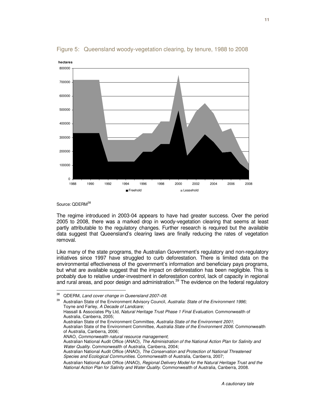

Figure 5: Queensland woody-vegetation clearing, by tenure, 1988 to 2008

Source: QDERM<sup>38</sup>

The regime introduced in 2003-04 appears to have had greater success. Over the period 2005 to 2008, there was a marked drop in woody-vegetation clearing that seems at least partly attributable to the regulatory changes. Further research is required but the available data suggest that Queensland's clearing laws are finally reducing the rates of vegetation removal.

Like many of the state programs, the Australian Government's regulatory and non-regulatory initiatives since 1997 have struggled to curb deforestation. There is limited data on the environmental effectiveness of the government's information and beneficiary pays programs, but what are available suggest that the impact on deforestation has been negligible. This is probably due to relative under-investment in deforestation control, lack of capacity in regional and rural areas, and poor design and administration.<sup>39</sup> The evidence on the federal regulatory

Australian State of the Environment Advisory Council, Australia: State of the Environment 1996; Toyne and Farley, A Decade of Landcare; Hassall & Associates Pty Ltd, Natural Heritage Trust Phase 1 Final Evaluation. Commonwealth of Australia, Canberra, 2005; Australian State of the Environment Committee, Australia State of the Environment 2001; Australian State of the Environment Committee, Australia State of the Environment 2006. Commonwealth of Australia, Canberra, 2006; ANAO, Commonwealth natural resource management; Australian National Audit Office (ANAO), The Administration of the National Action Plan for Salinity and Water Quality. Commonwealth of Australia, Canberra, 2004; Australian National Audit Office (ANAO), The Conservation and Protection of National Threatened Species and Ecological Communities. Commonwealth of Australia, Canberra, 2007; Australian National Audit Office (ANAO), Regional Delivery Model for the Natural Heritage Trust and the National Action Plan for Salinity and Water Quality. Commonwealth of Australia, Canberra, 2008.

<sup>38</sup>  $38$  QDERM, Land cover change in Queensland 2007–08.<br> $39$  Australian State of the Environment Advisory Council.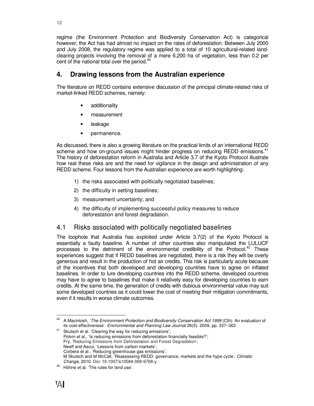regime (the Environment Protection and Biodiversity Conservation Act) is categorical however; the Act has had almost no impact on the rates of deforestation. Between July 2000 and July 2008, the regulatory regime was applied to a total of 10 agricultural-related landclearing projects involving the removal of a mere 6,200 ha of vegetation, less than 0.2 per cent of the national total over the period.<sup>40</sup>

# **4. Drawing lessons from the Australian experience**

The literature on REDD contains extensive discussion of the principal climate-related risks of market-linked REDD schemes, namely:

- additionality
- measurement
- leakage
- permanence.

As discussed, there is also a growing literature on the practical limits of an international REDD scheme and how on-ground issues might hinder progress on reducing REDD emissions.<sup>41</sup> The history of deforestation reform in Australia and Article 3.7 of the Kyoto Protocol illustrate how real these risks are and the need for vigilance in the design and administration of any REDD scheme. Four lessons from the Australian experience are worth highlighting:

- 1) the risks associated with politically negotiated baselines;
- 2) the difficulty in setting baselines;
- 3) measurement uncertainty; and
- 4) the difficulty of implementing successful policy measures to reduce deforestation and forest degradation.

# 4.1 Risks associated with politically negotiated baselines

The loophole that Australia has exploited under Article 3.7(2) of the Kyoto Protocol is essentially a faulty baseline. A number of other countries also manipulated the LULUCF processes to the detriment of the environmental credibility of the Protocol.<sup>42</sup> These experiences suggest that if REDD baselines are negotiated, there is a risk they will be overly generous and result in the production of hot air credits. This risk is particularly acute because of the incentives that both developed and developing countries have to agree on inflated baselines. In order to lure developing countries into the REDD scheme, developed countries may have to agree to baselines that make it relatively easy for developing countries to earn credits. At the same time, the generation of credits with dubious environmental value may suit some developed countries as it could lower the cost of meeting their mitigation commitments, even if it results in worse climate outcomes.

<sup>40</sup> A Macintosh, 'The Environment Protection and Biodiversity Conservation Act 1999 (Cth): An evaluation of its cost-effectiveness'. Environmental and Planning Law Journal 26(5): 2009, pp. 337–362

<sup>&</sup>lt;sup>41</sup> Skutsch et al. 'Clearing the way for reducing emissions'; Potvin et al., 'Is reducing emissions from deforestation financially feasible?'; Fry, 'Reducing Emissions from Deforestation and Forest Degradation'; Neeff and Ascui, 'Lessons from carbon markets'; Corbera et al., 'Reducing greenhouse gas emissions'; M Skutsch and M McCall, 'Reassessing REDD: governance, markets and the hype cycle'. Climatic Change, 2010. Doi: 10.1007/s10584-009-9768-y.

<sup>42</sup> Höhne et al. 'The rules for land use'.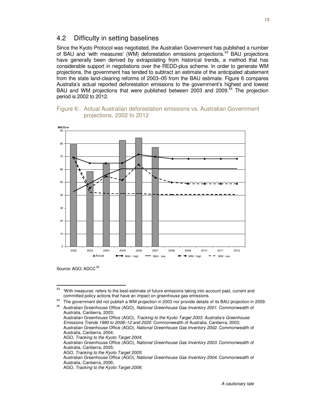## 4.2 Difficulty in setting baselines

Since the Kyoto Protocol was negotiated, the Australian Government has published a number of BAU and 'with measures' (WM) deforestation emissions projections.<sup>43</sup> BAU projections have generally been derived by extrapolating from historical trends, a method that has considerable support in negotiations over the REDD-plus scheme. In order to generate WM projections, the government has tended to subtract an estimate of the anticipated abatement from the state land-clearing reforms of 2003–05 from the BAU estimate. Figure 6 compares Australia's actual reported deforestation emissions to the government's highest and lowest BAU and WM projections that were published between 2003 and 2009.<sup>44</sup> The projection period is 2002 to 2012.





Source: AGO; ADCC<sup>45</sup>

<sup>43</sup> <sup>43</sup> 'With measures' refers to the best-estimate of future emissions taking into account past, current and committed policy actions that have an impact on greenhouse gas emissions.

<sup>44</sup> The government did not publish a WM projection in 2003 nor provide details of its BAU projection in 2009.

Australian Greenhouse Office (AGO), National Greenhouse Gas Inventory 2001. Commonwealth of Australia, Canberra, 2003; Australian Greenhouse Office (AGO), Tracking to the Kyoto Target 2003: Australia's Greenhouse Emissions Trends 1990 to 2008–12 and 2020. Commonwealth of Australia, Canberra, 2003; Australian Greenhouse Office (AGO), National Greenhouse Gas Inventory 2002. Commonwealth of Australia, Canberra, 2004; AGO, Tracking to the Kyoto Target 2004; Australian Greenhouse Office (AGO), National Greenhouse Gas Inventory 2003. Commonwealth of Australia, Canberra, 2005; AGO, Tracking to the Kyoto Target 2005; Australian Greenhouse Office (AGO), National Greenhouse Gas Inventory 2004. Commonwealth of Australia, Canberra, 2006; AGO, Tracking to the Kyoto Target 2006;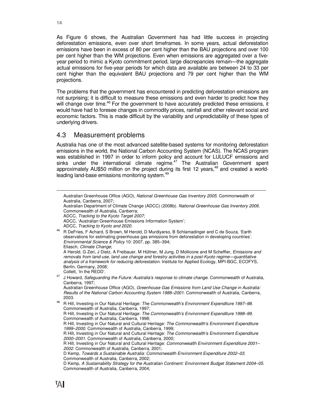As Figure 6 shows, the Australian Government has had little success in projecting deforestation emissions, even over short timeframes. In some years, actual deforestation emissions have been in excess of 80 per cent higher than the BAU projections and over 100 per cent higher than the WM projections. Even when emissions are aggregated over a fiveyear period to mimic a Kyoto commitment period, large discrepancies remain—the aggregate actual emissions for five-year periods for which data are available are between 24 to 33 per cent higher than the equivalent BAU projections and 79 per cent higher than the WM projections.

The problems that the government has encountered in predicting deforestation emissions are not surprising; it is difficult to measure these emissions and even harder to predict how they will change over time.<sup>46</sup> For the government to have accurately predicted these emissions, it would have had to foresee changes in commodity prices, rainfall and other relevant social and economic factors. This is made difficult by the variability and unpredictability of these types of underlying drivers.

#### 4.3 Measurement problems

Australia has one of the most advanced satellite-based systems for monitoring deforestation emissions in the world, the National Carbon Accounting System (NCAS). The NCAS program was established in 1997 in order to inform policy and account for LULUCF emissions and sinks under the international climate regime. $47$  The Australian Government spent approximately AU\$50 million on the project during its first 12 years, $48$  and created a worldleading land-base emissions monitoring system.<sup>49</sup>

A Herold, G Zeri, J Dietz, A Freibauer, M Hüttner, M Jung, D Mollicone and M Scheffler, Emissions and removals from land-use, land use change and forestry activities in a post-Kyoto regime—quantitative analysis of a framework for reducing deforestation. Institute for Applied Ecology, MPI-BGC, ECOFYS, Berlin, Germany, 2008;

J Howard, Safeguarding the Future: Australia's response to climate change. Commonwealth of Australia, Canberra, 1997;

Australian Greenhouse Office (AGO), Greenhouse Gas Emissions from Land Use Change in Australia: Results of the National Carbon Accounting System 1988–2001. Commonwealth of Australia, Canberra, 2003.

 $\overline{a}$ 

Australian Greenhouse Office (AGO), National Greenhouse Gas Inventory 2005. Commonwealth of Australia, Canberra, 2007;

Australian Department of Climate Change (ADCC) (2008b). National Greenhouse Gas Inventory 2006. Commonwealth of Australia, Canberra;

ADCC, Tracking to the Kyoto Target 2007;

ADCC, 'Australian Greenhouse Emissions Information System';

ADCC, Tracking to Kyoto and 2020.

<sup>46</sup> R DeFries, F Achard, S Brown, M Herold, D Murdiyarso, B Schlamadinger and C de Souza, 'Earth observations for estimating greenhouse gas emissions from deforestation in developing countries'. Environmental Science & Policy 10: 2007, pp. 385–394; Eliasch, Climate Change;

Collett, 'In the REDD'.

<sup>48</sup> R Hill, Investing in Our Natural Heritage: The Commonwealth's Environment Expenditure 1997–98. Commonwealth of Australia, Canberra, 1997; R Hill, Investing in Our Natural Heritage: The Commonwealth's Environment Expenditure 1998–99. Commonwealth of Australia, Canberra, 1998; R Hill, Investing in Our Natural and Cultural Heritage: The Commonwealth's Environment Expenditure 1999–2000. Commonwealth of Australia, Canberra, 1999; R Hill, Investing in Our Natural and Cultural Heritage: The Commonwealth's Environment Expenditure 2000–2001. Commonwealth of Australia, Canberra, 2000; R Hill, Investing in Our Natural and Cultural Heritage: Commonwealth Environment Expenditure 2001-2002. Commonwealth of Australia, Canberra, 2001; D Kemp, Towards a Sustainable Australia: Commonwealth Environment Expenditure 2002–03. Commonwealth of Australia, Canberra, 2002; D Kemp, A Sustainability Strategy for the Australian Continent: Environment Budget Statement 2004–05. Commonwealth of Australia, Canberra, 2004;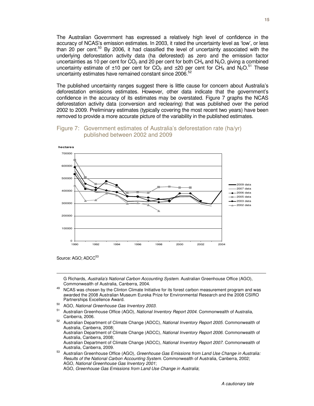The Australian Government has expressed a relatively high level of confidence in the accuracy of NCAS's emission estimates. In 2003, it rated the uncertainty level as 'low', or less than 20 per cent.<sup>50</sup> By 2006, it had classified the level of uncertainty associated with the underlying deforestation activity data (ha deforested) as zero and the emission factor uncertainties as 10 per cent for  $CO<sub>2</sub>$  and 20 per cent for both CH<sub>4</sub> and N<sub>2</sub>O, giving a combined uncertainty estimate of  $\pm 10$  per cent for CO<sub>2</sub> and  $\pm 20$  per cent for CH<sub>4</sub> and N<sub>2</sub>O.<sup>51</sup> These uncertainty estimates have remained constant since 2006.<sup>5</sup>

The published uncertainty ranges suggest there is little cause for concern about Australia's deforestation emissions estimates. However, other data indicate that the government's confidence in the accuracy of its estimates may be overstated. Figure 7 graphs the NCAS deforestation activity data (conversion and reclearing) that was published over the period 2002 to 2009. Preliminary estimates (typically covering the most recent two years) have been removed to provide a more accurate picture of the variability in the published estimates.



#### Figure 7: Government estimates of Australia's deforestation rate (ha/yr) published between 2002 and 2009

Source: AGO; ADCC<sup>53</sup>

 $\overline{a}$ 

G Richards, Australia's National Carbon Accounting System. Australian Greenhouse Office (AGO), Commonwealth of Australia, Canberra, 2004.

- <sup>49</sup> NCAS was chosen by the Clinton Climate Initiative for its forest carbon measurement program and was awarded the 2008 Australian Museum Eureka Prize for Environmental Research and the 2008 CSIRO Partnerships Excellence Award.
- 50 AGO, National Greenhouse Gas Inventory 2003.
- Australian Greenhouse Office (AGO), National Inventory Report 2004. Commonwealth of Australia, Canberra, 2006.
- <sup>52</sup> Australian Department of Climate Change (ADCC), National Inventory Report 2005. Commonwealth of Australia, Canberra, 2008; Australian Department of Climate Change (ADCC), National Inventory Report 2006. Commonwealth of Australia, Canberra, 2008; Australian Department of Climate Change (ADCC), National Inventory Report 2007. Commonwealth of Australia, Canberra, 2009.

Australian Greenhouse Office (AGO), Greenhouse Gas Emissions from Land Use Change in Australia: Results of the National Carbon Accounting System. Commonwealth of Australia, Canberra, 2002; AGO, National Greenhouse Gas Inventory 2001; AGO, Greenhouse Gas Emissions from Land Use Change in Australia;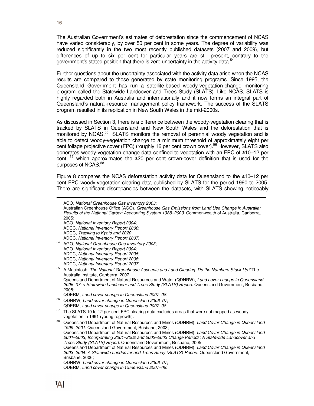The Australian Government's estimates of deforestation since the commencement of NCAS have varied considerably, by over 50 per cent in some years. The degree of variability was reduced significantly in the two most recently published datasets (2007 and 2009), but differences of up to six per cent for particular years are still present, contrary to the government's stated position that there is zero uncertainty in the activity data.<sup>54</sup>

Further questions about the uncertainty associated with the activity data arise when the NCAS results are compared to those generated by state monitoring programs. Since 1995, the Queensland Government has run a satellite-based woody-vegetation-change monitoring program called the Statewide Landcover and Trees Study (SLATS). Like NCAS, SLATS is highly regarded both in Australia and internationally and it now forms an integral part of Queensland's natural-resource management policy framework. The success of the SLATS program resulted in its replication in New South Wales in the mid-2000s.

As discussed in Section 3, there is a difference between the woody-vegetation clearing that is tracked by SLATS in Queensland and New South Wales and the deforestation that is monitored by NCAS.<sup>55</sup> SLATS monitors the removal of perennial woody vegetation and is able to detect woody-vegetation change to a minimum threshold of approximately eight per cent foliage projective cover (FPC) (roughly 16 per cent crown cover).<sup>56</sup> However, SLATS also generates woody-vegetation change data confined to vegetation with an FPC of ≥10–12 per cent, <sup>57</sup> which approximates the ≥20 per cent crown-cover definition that is used for the purposes of NCAS.<sup>58</sup>

Figure 8 compares the NCAS deforestation activity data for Queensland to the ≥10–12 per cent FPC woody-vegetation-clearing data published by SLATS for the period 1990 to 2005. There are significant discrepancies between the datasets, with SLATS showing noticeably

Australian Greenhouse Office (AGO), Greenhouse Gas Emissions from Land Use Change in Australia: Results of the National Carbon Accounting System 1988–2003. Commonwealth of Australia, Canberra, 2005;

ADCC, National Inventory Report 2006;

- ADCC, National Inventory Report 2007.
- <sup>54</sup> AGO, National Greenhouse Gas Inventory 2003; AGO, National Inventory Report 2004; ADCC, National Inventory Report 2005; ADCC, National Inventory Report 2006; ADCC, National Inventory Report 2007.
- <sup>55</sup> A Macintosh, The National Greenhouse Accounts and Land Clearing: Do the Numbers Stack Up? The Australia Institute, Canberra, 2007; Queensland Department of Natural Resources and Water (QDNRW), Land cover change in Queensland 2006–07: a Statewide Landcover and Trees Study (SLATS) Report. Queensland Government, Brisbane, 2008;
	- QDERM, Land cover change in Queensland 2007–08.
- <sup>56</sup> QDNRW, Land cover change in Queensland 2006–07; QDERM, Land cover change in Queensland 2007–08.
- <sup>57</sup> The SLATS 10 to 12 per cent FPC clearing data excludes areas that were not mapped as woody vegetation in 1991 (young regrowth).

 $\overline{a}$ 

AGO, National Greenhouse Gas Inventory 2003;

AGO, National Inventory Report 2004;

ADCC, Tracking to Kyoto and 2020;

Queensland Department of Natural Resources and Mines (QDNRM), Land Cover Change in Queensland 1999–2001. Queensland Government, Brisbane, 2003; Queensland Department of Natural Resources and Mines (QDNRM), Land Cover Change in Queensland 2001–2003, Incorporating 2001–2002 and 2002–2003 Change Periods: A Statewide Landcover and Trees Study (SLATS) Report. Queensland Government, Brisbane, 2005; Queensland Department of Natural Resources and Mines (QDNRM), Land Cover Change in Queensland 2003–2004: A Statewide Landcover and Trees Study (SLATS) Report. Queensland Government, Brisbane, 2006; QDNRW, Land cover change in Queensland 2006–07; QDERM, Land cover change in Queensland 2007–08.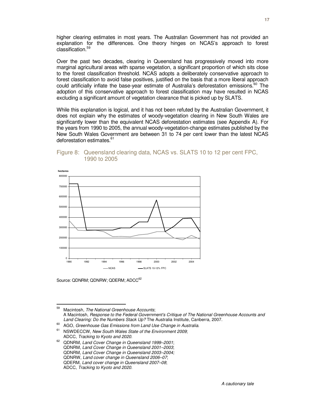higher clearing estimates in most years. The Australian Government has not provided an explanation for the differences. One theory hinges on NCAS's approach to forest classification.<sup>59</sup>

Over the past two decades, clearing in Queensland has progressively moved into more marginal agricultural areas with sparse vegetation, a significant proportion of which sits close to the forest classification threshold. NCAS adopts a deliberately conservative approach to forest classification to avoid false positives, justified on the basis that a more liberal approach could artificially inflate the base-year estimate of Australia's deforestation emissions. $60$  The adoption of this conservative approach to forest classification may have resulted in NCAS excluding a significant amount of vegetation clearance that is picked up by SLATS.

While this explanation is logical, and it has not been refuted by the Australian Government, it does not explain why the estimates of woody-vegetation clearing in New South Wales are significantly lower than the equivalent NCAS deforestation estimates (see Appendix A). For the years from 1990 to 2005, the annual woody-vegetation-change estimates published by the New South Wales Government are between 31 to 74 per cent lower than the latest NCAS deforestation estimates.<sup>61</sup>

#### Figure 8: Queensland clearing data, NCAS vs. SLATS 10 to 12 per cent FPC, 1990 to 2005



Source: QDNRM: QDNRW: QDERM: ADCC<sup>62</sup>

<sup>59</sup> Macintosh, The National Greenhouse Accounts; A Macintosh, Response to the Federal Government's Critique of The National Greenhouse Accounts and Land Clearing: Do the Numbers Stack Up? The Australia Institute, Canberra, 2007.

 $^{60}$  AGO, Greenhouse Gas Emissions from Land Use Change in Australia.

NSWDECCW, New South Wales State of the Environment 2009; ADCC, Tracking to Kyoto and 2020.

<sup>&</sup>lt;sup>62</sup> QDNRM, Land Cover Change in Queensland 1999-2001; QDNRM, Land Cover Change in Queensland 2001–2003; QDNRM, Land Cover Change in Queensland 2003–2004; QDNRW, Land cover change in Queensland 2006–07; QDERM, Land cover change in Queensland 2007–08; ADCC, Tracking to Kyoto and 2020.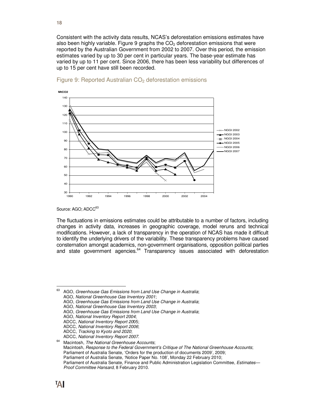Consistent with the activity data results, NCAS's deforestation emissions estimates have also been highly variable. Figure 9 graphs the  $CO<sub>2</sub>$  deforestation emissions that were reported by the Australian Government from 2002 to 2007. Over this period, the emission estimates varied by up to 30 per cent in particular years. The base-year estimate has varied by up to 11 per cent. Since 2006, there has been less variability but differences of up to 15 per cent have still been recorded.



#### Figure 9: Reported Australian CO<sub>2</sub> deforestation emissions

Source: AGO; ADCC<sup>63</sup>

The fluctuations in emissions estimates could be attributable to a number of factors, including changes in activity data, increases in geographic coverage, model reruns and technical modifications. However, a lack of transparency in the operation of NCAS has made it difficult to identify the underlying drivers of the variability. These transparency problems have caused consternation amongst academics, non-government organisations, opposition political parties and state government agencies. $64$  Transparency issues associated with deforestation

63 AGO, Greenhouse Gas Emissions from Land Use Change in Australia;

- AGO, Greenhouse Gas Emissions from Land Use Change in Australia;
- AGO, National Greenhouse Gas Inventory 2003;
- AGO, Greenhouse Gas Emissions from Land Use Change in Australia;
- AGO, National Inventory Report 2004;
- ADCC, National Inventory Report 2005;
- ADCC, National Inventory Report 2006;
- ADCC, Tracking to Kyoto and 2020;

ADCC, National Inventory Report 2007.

AGO, National Greenhouse Gas Inventory 2001;

 $64$  Macintosh, The National Greenhouse Accounts: Macintosh, Response to the Federal Government's Critique of The National Greenhouse Accounts; Parliament of Australia Senate, 'Orders for the production of documents 2009', 2009; Parliament of Australia Senate, 'Notice Paper No. 108', Monday 22 February 2010; Parliament of Australia Senate, Finance and Public Administration Legislation Committee, Estimates— Proof Committee Hansard, 8 February 2010.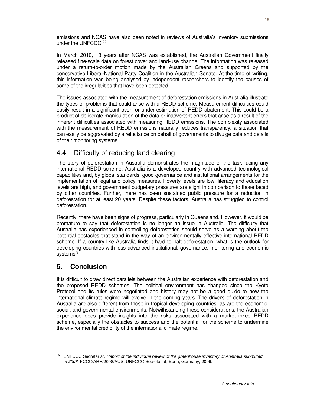emissions and NCAS have also been noted in reviews of Australia's inventory submissions under the UNFCCC.<sup>65</sup>

In March 2010, 13 years after NCAS was established, the Australian Government finally released fine-scale data on forest cover and land-use change. The information was released under a return-to-order motion made by the Australian Greens and supported by the conservative Liberal-National Party Coalition in the Australian Senate. At the time of writing, this information was being analysed by independent researchers to identify the causes of some of the irregularities that have been detected.

The issues associated with the measurement of deforestation emissions in Australia illustrate the types of problems that could arise with a REDD scheme. Measurement difficulties could easily result in a significant over- or under-estimation of REDD abatement. This could be a product of deliberate manipulation of the data or inadvertent errors that arise as a result of the inherent difficulties associated with measuring REDD emissions. The complexity associated with the measurement of REDD emissions naturally reduces transparency, a situation that can easily be aggravated by a reluctance on behalf of governments to divulge data and details of their monitoring systems.

# 4.4 Difficulty of reducing land clearing

The story of deforestation in Australia demonstrates the magnitude of the task facing any international REDD scheme. Australia is a developed country with advanced technological capabilities and, by global standards, good governance and institutional arrangements for the implementation of legal and policy measures. Poverty levels are low, literacy and education levels are high, and government budgetary pressures are slight in comparison to those faced by other countries. Further, there has been sustained public pressure for a reduction in deforestation for at least 20 years. Despite these factors, Australia has struggled to control deforestation.

Recently, there have been signs of progress, particularly in Queensland. However, it would be premature to say that deforestation is no longer an issue in Australia. The difficulty that Australia has experienced in controlling deforestation should serve as a warning about the potential obstacles that stand in the way of an environmentally effective international REDD scheme. If a country like Australia finds it hard to halt deforestation, what is the outlook for developing countries with less advanced institutional, governance, monitoring and economic systems?

# **5. Conclusion**

It is difficult to draw direct parallels between the Australian experience with deforestation and the proposed REDD schemes. The political environment has changed since the Kyoto Protocol and its rules were negotiated and history may not be a good guide to how the international climate regime will evolve in the coming years. The drivers of deforestation in Australia are also different from those in tropical developing countries, as are the economic, social, and governmental environments. Notwithstanding these considerations, the Australian experience does provide insights into the risks associated with a market-linked REDD scheme, especially the obstacles to success and the potential for the scheme to undermine the environmental credibility of the international climate regime.

<sup>65</sup> UNFCCC Secretariat, Report of the individual review of the greenhouse inventory of Australia submitted in 2008. FCCC/ARR/2008/AUS. UNFCCC Secretariat, Bonn, Germany, 2009.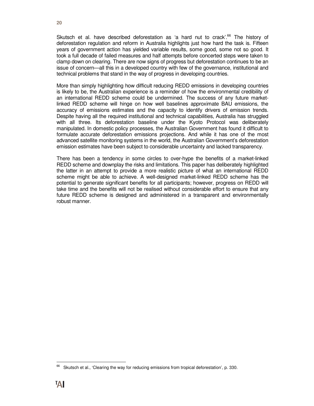Skutsch et al. have described deforestation as 'a hard nut to crack'.<sup>66</sup> The history of deforestation regulation and reform in Australia highlights just how hard the task is. Fifteen years of government action has yielded variable results, some good, some not so good. It took a full decade of failed measures and half attempts before concerted steps were taken to clamp down on clearing. There are now signs of progress but deforestation continues to be an issue of concern—all this in a developed country with few of the governance, institutional and technical problems that stand in the way of progress in developing countries.

More than simply highlighting how difficult reducing REDD emissions in developing countries is likely to be, the Australian experience is a reminder of how the environmental credibility of an international REDD scheme could be undermined. The success of any future marketlinked REDD scheme will hinge on how well baselines approximate BAU emissions, the accuracy of emissions estimates and the capacity to identify drivers of emission trends. Despite having all the required institutional and technical capabilities, Australia has struggled with all three. Its deforestation baseline under the Kyoto Protocol was deliberately manipulated. In domestic policy processes, the Australian Government has found it difficult to formulate accurate deforestation emissions projections. And while it has one of the most advanced satellite monitoring systems in the world, the Australian Government's deforestation emission estimates have been subject to considerable uncertainty and lacked transparency.

There has been a tendency in some circles to over-hype the benefits of a market-linked REDD scheme and downplay the risks and limitations. This paper has deliberately highlighted the latter in an attempt to provide a more realistic picture of what an international REDD scheme might be able to achieve. A well-designed market-linked REDD scheme has the potential to generate significant benefits for all participants; however, progress on REDD will take time and the benefits will not be realised without considerable effort to ensure that any future REDD scheme is designed and administered in a transparent and environmentally robust manner.

 $\overline{a}$ <sup>66</sup> Skutsch et al., 'Clearing the way for reducing emissions from tropical deforestation', p. 330.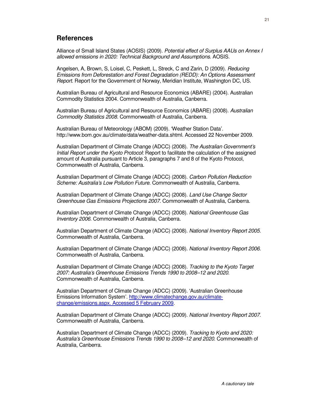#### **References**

Alliance of Small Island States (AOSIS) (2009). Potential effect of Surplus AAUs on Annex I allowed emissions in 2020: Technical Background and Assumptions. AOSIS.

Angelsen, A, Brown, S, Loisel, C, Peskett, L, Streck, C and Zarin, D (2009). Reducing Emissions from Deforestation and Forest Degradation (REDD): An Options Assessment Report. Report for the Government of Norway, Meridian Institute, Washington DC, US.

Australian Bureau of Agricultural and Resource Economics (ABARE) (2004). Australian Commodity Statistics 2004. Commonwealth of Australia, Canberra.

Australian Bureau of Agricultural and Resource Economics (ABARE) (2008). Australian Commodity Statistics 2008. Commonwealth of Australia, Canberra.

Australian Bureau of Meteorology (ABOM) (2009). 'Weather Station Data'. http://www.bom.gov.au/climate/data/weather-data.shtml. Accessed 22 November 2009.

Australian Department of Climate Change (ADCC) (2008). The Australian Government's Initial Report under the Kyoto Protocol: Report to facilitate the calculation of the assigned amount of Australia pursuant to Article 3, paragraphs 7 and 8 of the Kyoto Protocol, Commonwealth of Australia, Canberra.

Australian Department of Climate Change (ADCC) (2008). Carbon Pollution Reduction Scheme: Australia's Low Pollution Future. Commonwealth of Australia, Canberra.

Australian Department of Climate Change (ADCC) (2008). Land Use Change Sector Greenhouse Gas Emissions Projections 2007. Commonwealth of Australia, Canberra.

Australian Department of Climate Change (ADCC) (2008). National Greenhouse Gas Inventory 2006. Commonwealth of Australia, Canberra.

Australian Department of Climate Change (ADCC) (2008). National Inventory Report 2005. Commonwealth of Australia, Canberra.

Australian Department of Climate Change (ADCC) (2008). National Inventory Report 2006. Commonwealth of Australia, Canberra.

Australian Department of Climate Change (ADCC) (2008). Tracking to the Kyoto Target 2007: Australia's Greenhouse Emissions Trends 1990 to 2008–12 and 2020. Commonwealth of Australia, Canberra.

Australian Department of Climate Change (ADCC) (2009). 'Australian Greenhouse Emissions Information System'. http://www.climatechange.gov.au/climatechange/emissions.aspx. Accessed 5 February 2009.

Australian Department of Climate Change (ADCC) (2009). National Inventory Report 2007. Commonwealth of Australia, Canberra.

Australian Department of Climate Change (ADCC) (2009). Tracking to Kyoto and 2020: Australia's Greenhouse Emissions Trends 1990 to 2008–12 and 2020. Commonwealth of Australia, Canberra.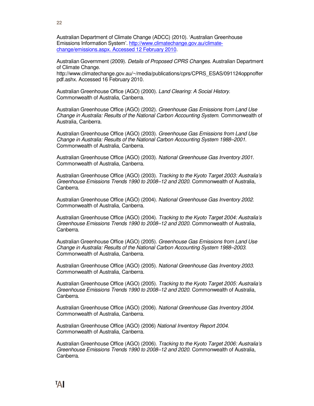**22**

Australian Department of Climate Change (ADCC) (2010). 'Australian Greenhouse Emissions Information System'. http://www.climatechange.gov.au/climatechange/emissions.aspx. Accessed 12 February 2010.

Australian Government (2009). Details of Proposed CPRS Changes. Australian Department of Climate Change.

http://www.climatechange.gov.au/~/media/publications/cprs/CPRS\_ESAS/091124oppnoffer pdf.ashx. Accessed 16 February 2010.

Australian Greenhouse Office (AGO) (2000). Land Clearing: A Social History. Commonwealth of Australia, Canberra.

Australian Greenhouse Office (AGO) (2002). Greenhouse Gas Emissions from Land Use Change in Australia: Results of the National Carbon Accounting System. Commonwealth of Australia, Canberra.

Australian Greenhouse Office (AGO) (2003). Greenhouse Gas Emissions from Land Use Change in Australia: Results of the National Carbon Accounting System 1988–2001. Commonwealth of Australia, Canberra.

Australian Greenhouse Office (AGO) (2003). National Greenhouse Gas Inventory 2001. Commonwealth of Australia, Canberra.

Australian Greenhouse Office (AGO) (2003). Tracking to the Kyoto Target 2003: Australia's Greenhouse Emissions Trends 1990 to 2008–12 and 2020. Commonwealth of Australia, Canberra.

Australian Greenhouse Office (AGO) (2004). National Greenhouse Gas Inventory 2002. Commonwealth of Australia, Canberra.

Australian Greenhouse Office (AGO) (2004). Tracking to the Kyoto Target 2004: Australia's Greenhouse Emissions Trends 1990 to 2008–12 and 2020. Commonwealth of Australia, Canberra.

Australian Greenhouse Office (AGO) (2005). Greenhouse Gas Emissions from Land Use Change in Australia: Results of the National Carbon Accounting System 1988–2003. Commonwealth of Australia, Canberra.

Australian Greenhouse Office (AGO) (2005). National Greenhouse Gas Inventory 2003. Commonwealth of Australia, Canberra.

Australian Greenhouse Office (AGO) (2005). Tracking to the Kyoto Target 2005: Australia's Greenhouse Emissions Trends 1990 to 2008–12 and 2020. Commonwealth of Australia, Canberra.

Australian Greenhouse Office (AGO) (2006). National Greenhouse Gas Inventory 2004. Commonwealth of Australia, Canberra.

Australian Greenhouse Office (AGO) (2006) National Inventory Report 2004. Commonwealth of Australia, Canberra.

Australian Greenhouse Office (AGO) (2006). Tracking to the Kyoto Target 2006: Australia's Greenhouse Emissions Trends 1990 to 2008–12 and 2020. Commonwealth of Australia, Canberra.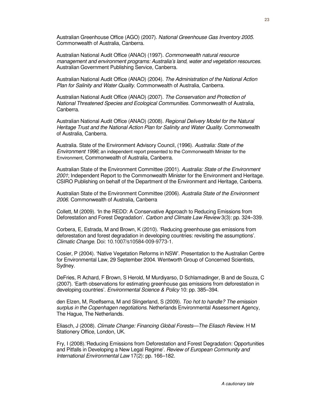Australian Greenhouse Office (AGO) (2007). National Greenhouse Gas Inventory 2005. Commonwealth of Australia, Canberra.

Australian National Audit Office (ANAO) (1997). Commonwealth natural resource management and environment programs: Australia's land, water and vegetation resources. Australian Government Publishing Service, Canberra.

Australian National Audit Office (ANAO) (2004). The Administration of the National Action Plan for Salinity and Water Quality. Commonwealth of Australia, Canberra.

Australian National Audit Office (ANAO) (2007). The Conservation and Protection of National Threatened Species and Ecological Communities. Commonwealth of Australia, Canberra.

Australian National Audit Office (ANAO) (2008). Regional Delivery Model for the Natural Heritage Trust and the National Action Plan for Salinity and Water Quality. Commonwealth of Australia, Canberra.

Australia. State of the Environment Advisory Council, (1996). Australia: State of the Environment 1996; an independent report presented to the Commonwealth Minister for the Environment, Commonwealth of Australia, Canberra.

Australian State of the Environment Committee (2001). Australia: State of the Environment 2001; Independent Report to the Commonwealth Minister for the Environment and Heritage. CSIRO Publishing on behalf of the Department of the Environment and Heritage, Canberra.

Australian State of the Environment Committee (2006). Australia State of the Environment 2006. Commonwealth of Australia, Canberra

Collett, M (2009). 'In the REDD: A Conservative Approach to Reducing Emissions from Deforestation and Forest Degradation'. Carbon and Climate Law Review 3(3): pp. 324–339.

Corbera, E, Estrada, M and Brown, K (2010). 'Reducing greenhouse gas emissions from deforestation and forest degradation in developing countries: revisiting the assumptions'. Climatic Change. Doi: 10.1007/s10584-009-9773-1.

Cosier, P (2004). 'Native Vegetation Reforms in NSW'. Presentation to the Australian Centre for Environmental Law, 29 September 2004. Wentworth Group of Concerned Scientists, Sydney.

DeFries, R Achard, F Brown, S Herold, M Murdiyarso, D Schlamadinger, B and de Souza, C (2007). 'Earth observations for estimating greenhouse gas emissions from deforestation in developing countries'. Environmental Science & Policy 10: pp. 385–394.

den Elzen, M, Roelfsema, M and Slingerland, S (2009). Too hot to handle? The emission surplus in the Copenhagen negotiations. Netherlands Environmental Assessment Agency, The Hague, The Netherlands.

Eliasch, J (2008). Climate Change: Financing Global Forests—The Eliasch Review. H M Stationery Office, London, UK.

Fry, I (2008).'Reducing Emissions from Deforestation and Forest Degradation: Opportunities and Pitfalls in Developing a New Legal Regime'. Review of European Community and International Environmental Law 17(2): pp. 166–182.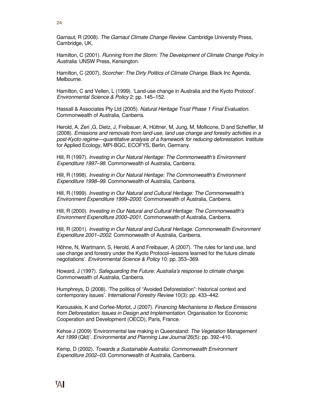**24**

Garnaut, R (2008). The Garnaut Climate Change Review. Cambridge University Press, Cambridge, UK.

Hamilton, C (2001). Running from the Storm: The Development of Climate Change Policy in Australia. UNSW Press, Kensington.

Hamilton, C (2007). Scorcher: The Dirty Politics of Climate Change. Black Inc Agenda, Melbourne.

Hamilton, C and Vellen, L (1999). 'Land-use change in Australia and the Kyoto Protocol'. Environmental Science & Policy 2: pp. 145–152.

Hassall & Associates Pty Ltd (2005). Natural Heritage Trust Phase 1 Final Evaluation. Commonwealth of Australia, Canberra.

Herold, A, Zeri ,G, Dietz, J, Freibauer, A, Hüttner, M, Jung, M, Mollicone, D and Scheffler, M (2008). Emissions and removals from land-use, land use change and forestry activities in a post-Kyoto regime—quantitative analysis of a framework for reducing deforestation. Institute for Applied Ecology, MPI-BGC, ECOFYS, Berlin, Germany.

Hill, R (1997). Investing in Our Natural Heritage: The Commonwealth's Environment Expenditure 1997–98. Commonwealth of Australia, Canberra.

Hill, R (1998). Investing in Our Natural Heritage: The Commonwealth's Environment Expenditure 1998–99. Commonwealth of Australia, Canberra.

Hill, R (1999). Investing in Our Natural and Cultural Heritage: The Commonwealth's Environment Expenditure 1999–2000. Commonwealth of Australia, Canberra.

Hill, R (2000). Investing in Our Natural and Cultural Heritage: The Commonwealth's Environment Expenditure 2000–2001. Commonwealth of Australia, Canberra.

Hill, R (2001). Investing in Our Natural and Cultural Heritage: Commonwealth Environment Expenditure 2001–2002. Commonwealth of Australia, Canberra.

Höhne, N, Wartmann, S, Herold, A and Freibauer, A (2007). 'The rules for land use, land use change and forestry under the Kyoto Protocol–lessons learned for the future climate negotiations'. Environmental Science & Policy 10: pp. 353–369.

Howard, J (1997). Safeguarding the Future: Australia's response to climate change. Commonwealth of Australia, Canberra.

Humphreys, D (2008). 'The politics of "Avoided Deforestation": historical context and contemporary issues'. International Forestry Review 10(3): pp. 433–442.

Karousakis, K and Corfee-Morlot, J (2007). Financing Mechanisms to Reduce Emissions from Deforestation: Issues in Design and Implementation. Organisation for Economic Cooperation and Development (OECD), Paris, France.

Kehoe J (2009) 'Environmental law making in Queensland: The Vegetation Management Act 1999 (Qld)'. Environmental and Planning Law Journal 26(5): pp. 392–410.

Kemp, D (2002). Towards a Sustainable Australia: Commonwealth Environment Expenditure 2002–03. Commonwealth of Australia, Canberra.

TДI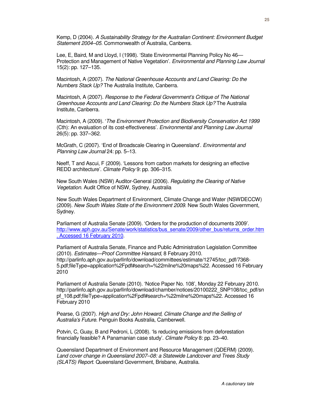Kemp, D (2004). A Sustainability Strategy for the Australian Continent: Environment Budget Statement 2004–05. Commonwealth of Australia, Canberra.

Lee, E, Baird, M and Lloyd, I (1998). 'State Environmental Planning Policy No 46— Protection and Management of Native Vegetation'. Environmental and Planning Law Journal 15(2): pp. 127–135.

Macintosh, A (2007). The National Greenhouse Accounts and Land Clearing: Do the Numbers Stack Up? The Australia Institute, Canberra.

Macintosh, A (2007). Response to the Federal Government's Critique of The National Greenhouse Accounts and Land Clearing: Do the Numbers Stack Up? The Australia Institute, Canberra.

Macintosh, A (2009). 'The Environment Protection and Biodiversity Conservation Act 1999 (Cth): An evaluation of its cost-effectiveness'. Environmental and Planning Law Journal 26(5): pp. 337–362.

McGrath, C (2007). 'End of Broadscale Clearing in Queensland'. Environmental and Planning Law Journal 24: pp. 5–13.

Neeff, T and Ascui, F (2009). 'Lessons from carbon markets for designing an effective REDD architecture'. Climate Policy 9: pp. 306–315.

New South Wales (NSW) Auditor-General (2006). Regulating the Clearing of Native Vegetation. Audit Office of NSW, Sydney, Australia

New South Wales Department of Environment, Climate Change and Water (NSWDECCW) (2009). New South Wales State of the Environment 2009. New South Wales Government, Sydney.

Parliament of Australia Senate (2009). 'Orders for the production of documents 2009'. http://www.aph.gov.au/Senate/work/statistics/bus\_senate/2009/other\_bus/returns\_order.htm . Accessed 16 February 2010.

Parliament of Australia Senate, Finance and Public Administration Legislation Committee (2010). Estimates—Proof Committee Hansard, 8 February 2010. http://parlinfo.aph.gov.au/parlInfo/download/committees/estimate/12745/toc\_pdf/7368- 5.pdf;fileType=application%2Fpdf#search=%22milne%20maps%22. Accessed 16 February 2010

Parliament of Australia Senate (2010). 'Notice Paper No. 108', Monday 22 February 2010. http://parlinfo.aph.gov.au/parlInfo/download/chamber/notices/20100222\_SNP108/toc\_pdf/sn pf\_108.pdf;fileType=application%2Fpdf#search=%22milne%20maps%22. Accessed 16 February 2010

Pearse, G (2007). High and Dry: John Howard, Climate Change and the Selling of Australia's Future. Penguin Books Australia, Camberwell.

Potvin, C, Guay, B and Pedroni, L (2008). 'Is reducing emissions from deforestation financially feasible? A Panamanian case study'. Climate Policy 8: pp. 23–40.

Queensland Department of Environment and Resource Management (QDERM) (2009). Land cover change in Queensland 2007–08: a Statewide Landcover and Trees Study (SLATS) Report. Queensland Government, Brisbane, Australia.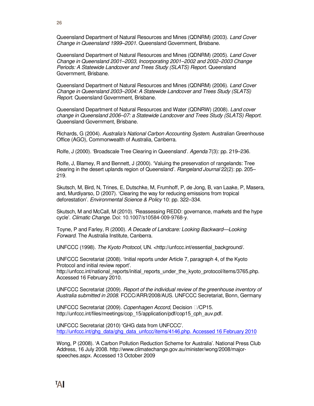Queensland Department of Natural Resources and Mines (QDNRM) (2003). Land Cover Change in Queensland 1999–2001. Queensland Government, Brisbane.

Queensland Department of Natural Resources and Mines (QDNRM) (2005). Land Cover Change in Queensland 2001–2003, Incorporating 2001–2002 and 2002–2003 Change Periods: A Statewide Landcover and Trees Study (SLATS) Report. Queensland Government, Brisbane.

Queensland Department of Natural Resources and Mines (QDNRM) (2006). Land Cover Change in Queensland 2003–2004: A Statewide Landcover and Trees Study (SLATS) Report. Queensland Government, Brisbane.

Queensland Department of Natural Resources and Water (QDNRW) (2008). Land cover change in Queensland 2006–07: a Statewide Landcover and Trees Study (SLATS) Report. Queensland Government, Brisbane.

Richards, G (2004). Australia's National Carbon Accounting System. Australian Greenhouse Office (AGO), Commonwealth of Australia, Canberra.

Rolfe, J (2000). 'Broadscale Tree Clearing in Queensland'. Agenda 7(3): pp. 219–236.

Rolfe, J, Blamey, R and Bennett, J (2000). 'Valuing the preservation of rangelands: Tree clearing in the desert uplands region of Queensland'. Rangeland Journal 22(2): pp. 205– 219.

Skutsch, M, Bird, N, Trines, E, Dutschke, M, Frumhoff, P, de Jong, B, van Laake, P, Masera, and, Murdiyarso, D (2007). 'Clearing the way for reducing emissions from tropical deforestation'. Environmental Science & Policy 10: pp. 322–334.

Skutsch, M and McCall, M (2010). 'Reassessing REDD: governance, markets and the hype cycle'. Climatic Change. Doi: 10.1007/s10584-009-9768-y.

Toyne, P and Farley, R (2000). A Decade of Landcare: Looking Backward—Looking Forward. The Australia Institute, Canberra.

UNFCCC (1998). The Kyoto Protocol, UN. <http://unfccc.int/essential\_background/.

UNFCCC Secretariat (2008). 'Initial reports under Article 7, paragraph 4, of the Kyoto Protocol and initial review report'.

http://unfccc.int/national\_reports/initial\_reports\_under\_the\_kyoto\_protocol/items/3765.php. Accessed 16 February 2010.

UNFCCC Secretariat (2009). Report of the individual review of the greenhouse inventory of Australia submitted in 2008. FCCC/ARR/2008/AUS. UNFCCC Secretariat, Bonn, Germany

UNFCCC Secretariat (2009). Copenhagen Accord, Decision <sup>[2]</sup> / CP15. http://unfccc.int/files/meetings/cop\_15/application/pdf/cop15\_cph\_auv.pdf.

UNFCCC Secretariat (2010) 'GHG data from UNFCCC'. http://unfccc.int/ghg\_data/ghg\_data\_unfccc/items/4146.php. Accessed 16 February 2010

Wong, P (2008). 'A Carbon Pollution Reduction Scheme for Australia'. National Press Club Address, 16 July 2008. http://www.climatechange.gov.au/minister/wong/2008/majorspeeches.aspx. Accessed 13 October 2009

**26**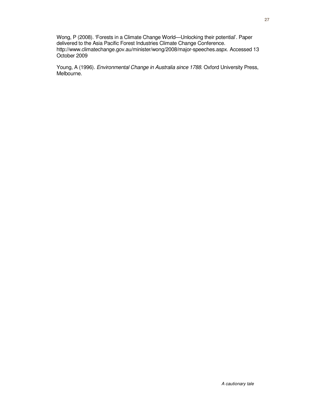Wong, P (2008). 'Forests in a Climate Change World—Unlocking their potential'. Paper delivered to the Asia Pacific Forest Industries Climate Change Conference. http://www.climatechange.gov.au/minister/wong/2008/major-speeches.aspx. Accessed 13 October 2009

Young, A (1996). Environmental Change in Australia since 1788. Oxford University Press, Melbourne.